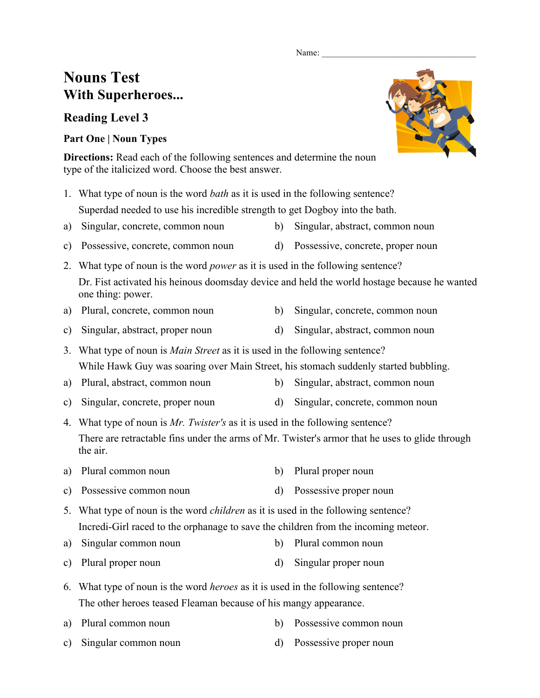#### Name:

# **Nouns Test With Superheroes...**

## **Reading Level 3**

### **Part One | Noun Types**

**Directions:** Read each of the following sentences and determine the noun type of the italicized word. Choose the best answer.

- 1. What type of noun is the word *bath* as it is used in the following sentence? Superdad needed to use his incredible strength to get Dogboy into the bath.
- a) Singular, concrete, common noun b) Singular, abstract, common noun
- c) Possessive, concrete, common noun d) Possessive, concrete, proper noun
- 2. What type of noun is the word *power* as it is used in the following sentence? Dr. Fist activated his heinous doomsday device and held the world hostage because he wanted one thing: power.
- a) Plural, concrete, common noun b) Singular, concrete, common noun
- c) Singular, abstract, proper noun d) Singular, abstract, common noun
- 3. What type of noun is *Main Street* as it is used in the following sentence? While Hawk Guy was soaring over Main Street, his stomach suddenly started bubbling.
- a) Plural, abstract, common noun b) Singular, abstract, common noun
- c) Singular, concrete, proper noun d) Singular, concrete, common noun

4. What type of noun is *Mr. Twister's* as it is used in the following sentence? There are retractable fins under the arms of Mr. Twister's armor that he uses to glide through the air.

- a) Plural common noun b) Plural proper noun
- c) Possessive common noun d) Possessive proper noun
- 5. What type of noun is the word *children* as it is used in the following sentence? Incredi-Girl raced to the orphanage to save the children from the incoming meteor.
- a) Singular common noun b) Plural common noun
- c) Plural proper noun d) Singular proper noun
- 6. What type of noun is the word *heroes* as it is used in the following sentence? The other heroes teased Fleaman because of his mangy appearance.
- a) Plural common noun b) Possessive common noun
- c) Singular common noun d) Possessive proper noun



- 
- 
- 
- 
- 
- 
-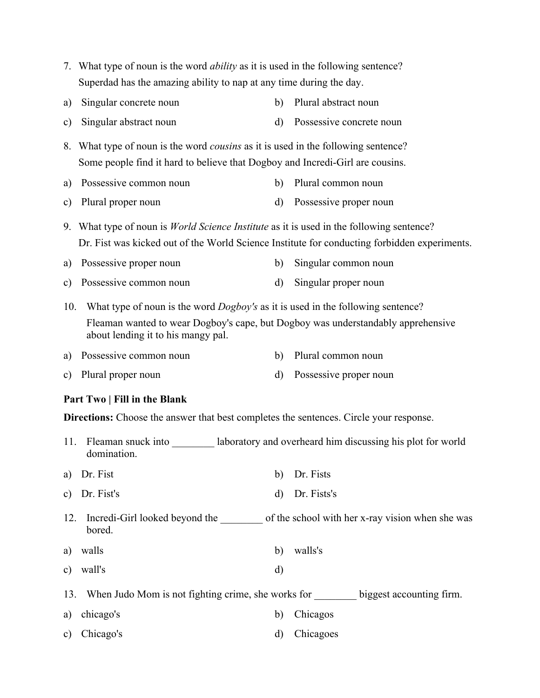- 7. What type of noun is the word *ability* as it is used in the following sentence? Superdad has the amazing ability to nap at any time during the day.
- a) Singular concrete noun b) Plural abstract noun
- c) Singular abstract noun d) Possessive concrete noun
- 8. What type of noun is the word *cousins* as it is used in the following sentence? Some people find it hard to believe that Dogboy and Incredi-Girl are cousins.
- a) Possessive common noun b) Plural common noun
- c) Plural proper noun d) Possessive proper noun
- 9. What type of noun is *World Science Institute* as it is used in the following sentence? Dr. Fist was kicked out of the World Science Institute for conducting forbidden experiments.
- a) Possessive proper noun b) Singular common noun
- c) Possessive common noun d) Singular proper noun

10. What type of noun is the word *Dogboy's* as it is used in the following sentence? Fleaman wanted to wear Dogboy's cape, but Dogboy was understandably apprehensive about lending it to his mangy pal.

- a) Possessive common noun b) Plural common noun
- c) Plural proper noun d) Possessive proper noun

#### **Part Two | Fill in the Blank**

**Directions:** Choose the answer that best completes the sentences. Circle your response.

- 11. Fleaman snuck into \_\_\_\_\_\_\_\_\_ laboratory and overheard him discussing his plot for world domination.
- a) Dr. Fist b) Dr. Fists
- c) Dr. Fist's d) Dr. Fists's
- 12. Incredi-Girl looked beyond the school with her x-ray vision when she was **bored**
- a) walls b) walls's
- c) wall's d)
- 13. When Judo Mom is not fighting crime, she works for biggest accounting firm.
- a) chicago's b) Chicagos
- c) Chicago's d) Chicagoes
- 
- 
- 

- 
-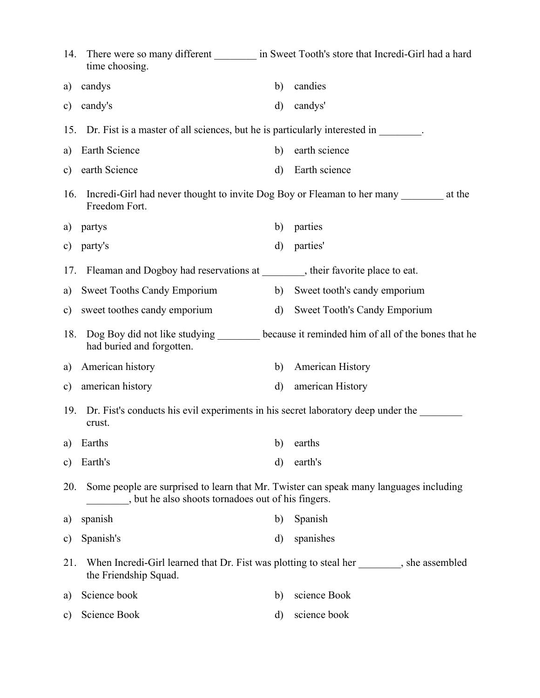| 14.           | time choosing.                                                                                                                             |              | There were so many different __________ in Sweet Tooth's store that Incredi-Girl had a hard |  |  |
|---------------|--------------------------------------------------------------------------------------------------------------------------------------------|--------------|---------------------------------------------------------------------------------------------|--|--|
| a)            | candys                                                                                                                                     | b)           | candies                                                                                     |  |  |
| c)            | candy's                                                                                                                                    | d)           | candys'                                                                                     |  |  |
| 15.           | Dr. Fist is a master of all sciences, but he is particularly interested in                                                                 |              |                                                                                             |  |  |
| a)            | Earth Science                                                                                                                              | b)           | earth science                                                                               |  |  |
| $\mathbf{c})$ | earth Science                                                                                                                              | $\mathbf{d}$ | Earth science                                                                               |  |  |
| 16.           | Freedom Fort.                                                                                                                              |              | Incredi-Girl had never thought to invite Dog Boy or Fleaman to her many _________ at the    |  |  |
| a)            | partys                                                                                                                                     | b)           | parties                                                                                     |  |  |
| c)            | party's                                                                                                                                    | $\mathbf{d}$ | parties'                                                                                    |  |  |
| 17.           | Fleaman and Dogboy had reservations at ________, their favorite place to eat.                                                              |              |                                                                                             |  |  |
| a)            | <b>Sweet Tooths Candy Emporium</b>                                                                                                         | b)           | Sweet tooth's candy emporium                                                                |  |  |
| $\mathbf{c})$ | sweet toothes candy emporium                                                                                                               | d)           | <b>Sweet Tooth's Candy Emporium</b>                                                         |  |  |
| 18.           | had buried and forgotten.                                                                                                                  |              | Dog Boy did not like studying ________ because it reminded him of all of the bones that he  |  |  |
| a)            | American history                                                                                                                           | b)           | <b>American History</b>                                                                     |  |  |
| $\mathbf{c})$ | american history                                                                                                                           | $\rm d$      | american History                                                                            |  |  |
| 19.           | Dr. Fist's conducts his evil experiments in his secret laboratory deep under the<br>crust.                                                 |              |                                                                                             |  |  |
| a)            | Earths                                                                                                                                     | b)           | earths                                                                                      |  |  |
| $\mathbf{c})$ | Earth's                                                                                                                                    | d)           | earth's                                                                                     |  |  |
| 20.           | Some people are surprised to learn that Mr. Twister can speak many languages including<br>but he also shoots tornadoes out of his fingers. |              |                                                                                             |  |  |
| a)            | spanish                                                                                                                                    | b)           | Spanish                                                                                     |  |  |
| c)            | Spanish's                                                                                                                                  | d)           | spanishes                                                                                   |  |  |
| 21.           | When Incredi-Girl learned that Dr. Fist was plotting to steal her, she assembled<br>the Friendship Squad.                                  |              |                                                                                             |  |  |
| a)            | Science book                                                                                                                               | b)           | science Book                                                                                |  |  |
| C)            | Science Book                                                                                                                               | d)           | science book                                                                                |  |  |
|               |                                                                                                                                            |              |                                                                                             |  |  |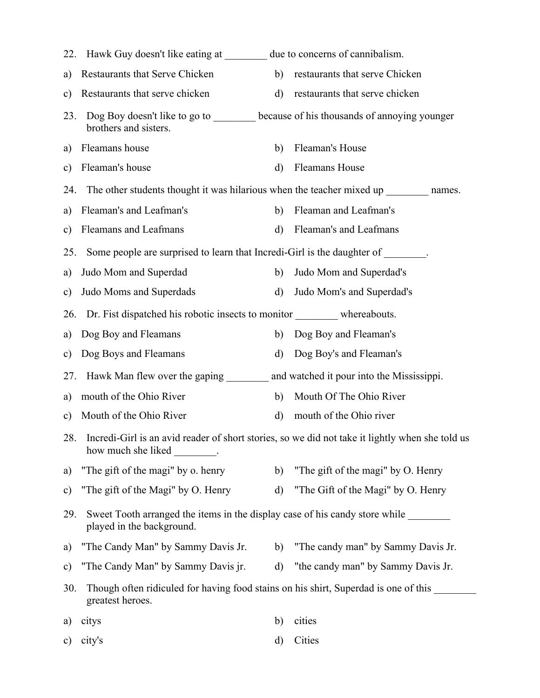| 22.           | Hawk Guy doesn't like eating at due to concerns of cannibalism.                                                                  |              |                                       |  |  |
|---------------|----------------------------------------------------------------------------------------------------------------------------------|--------------|---------------------------------------|--|--|
| a)            | Restaurants that Serve Chicken                                                                                                   | b)           | restaurants that serve Chicken        |  |  |
| c)            | Restaurants that serve chicken                                                                                                   | $\mathbf{d}$ | restaurants that serve chicken        |  |  |
| 23.           | Dog Boy doesn't like to go to _______ because of his thousands of annoying younger<br>brothers and sisters.                      |              |                                       |  |  |
| a)            | Fleamans house                                                                                                                   | b)           | Fleaman's House                       |  |  |
| $\mathbf{c})$ | Fleaman's house                                                                                                                  | d)           | <b>Fleamans House</b>                 |  |  |
| 24.           | The other students thought it was hilarious when the teacher mixed up names.                                                     |              |                                       |  |  |
| a)            | Fleaman's and Leafman's                                                                                                          | b)           | Fleaman and Leafman's                 |  |  |
| c)            | Fleamans and Leafmans                                                                                                            | $\rm d$      | Fleaman's and Leafmans                |  |  |
| 25.           | Some people are surprised to learn that Incredi-Girl is the daughter of ________.                                                |              |                                       |  |  |
| a)            | Judo Mom and Superdad                                                                                                            | b)           | Judo Mom and Superdad's               |  |  |
| c)            | Judo Moms and Superdads                                                                                                          | d)           | Judo Mom's and Superdad's             |  |  |
| 26.           | Dr. Fist dispatched his robotic insects to monitor ___________ whereabouts.                                                      |              |                                       |  |  |
| a)            | Dog Boy and Fleamans                                                                                                             | b)           | Dog Boy and Fleaman's                 |  |  |
| $\mathbf{c})$ | Dog Boys and Fleamans                                                                                                            | d)           | Dog Boy's and Fleaman's               |  |  |
| 27.           | Hawk Man flew over the gaping ___________ and watched it pour into the Mississippi.                                              |              |                                       |  |  |
| a)            | mouth of the Ohio River                                                                                                          | b)           | Mouth Of The Ohio River               |  |  |
| $\mathbf{c})$ | Mouth of the Ohio River                                                                                                          | d)           | mouth of the Ohio river               |  |  |
| 28.           | Incredi-Girl is an avid reader of short stories, so we did not take it lightly when she told us<br>how much she liked _________. |              |                                       |  |  |
| a)            | "The gift of the magi" by o. henry                                                                                               | b)           | "The gift of the magi" by O. Henry    |  |  |
| $\mathbf{c})$ | "The gift of the Magi" by O. Henry                                                                                               | $\mathbf{d}$ | "The Gift of the Magi" by O. Henry    |  |  |
| 29.           | Sweet Tooth arranged the items in the display case of his candy store while<br>played in the background.                         |              |                                       |  |  |
| a)            | "The Candy Man" by Sammy Davis Jr.                                                                                               |              | b) "The candy man" by Sammy Davis Jr. |  |  |
| $\mathbf{c})$ | "The Candy Man" by Sammy Davis jr.                                                                                               | d)           | "the candy man" by Sammy Davis Jr.    |  |  |
| 30.           | Though often ridiculed for having food stains on his shirt, Superdad is one of this<br>greatest heroes.                          |              |                                       |  |  |
| a)            | citys                                                                                                                            | b)           | cities                                |  |  |
| $\mathbf{c})$ | city's                                                                                                                           | d)           | Cities                                |  |  |